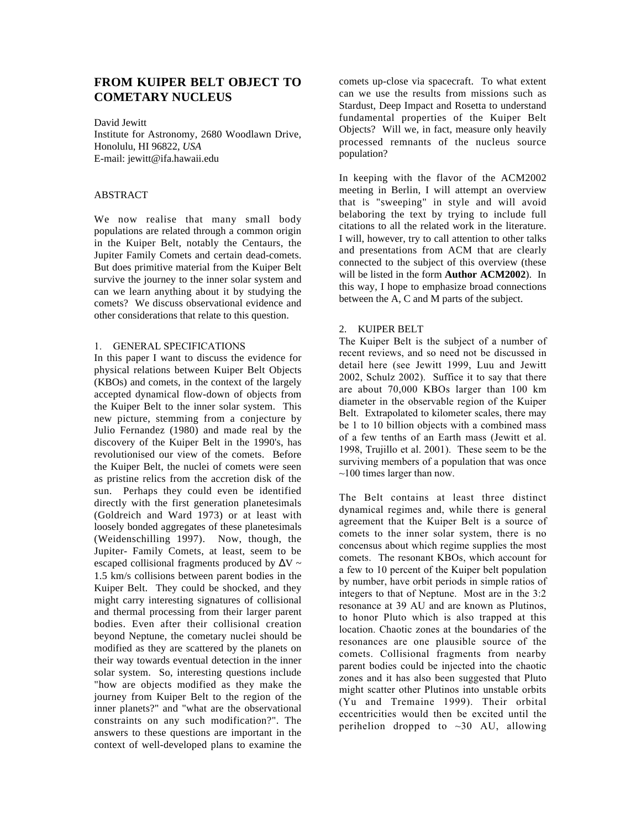# **FROM KUIPER BELT OBJECT TO COMETARY NUCLEUS**

David Jewitt

Institute for Astronomy, 2680 Woodlawn Drive, Honolulu, HI 96822, *USA* E-mail: jewitt@ifa.hawaii.edu

### ABSTRACT

We now realise that many small body populations are related through a common origin in the Kuiper Belt, notably the Centaurs, the Jupiter Family Comets and certain dead-comets. But does primitive material from the Kuiper Belt survive the journey to the inner solar system and can we learn anything about it by studying the comets? We discuss observational evidence and other considerations that relate to this question.

#### 1. GENERAL SPECIFICATIONS

In this paper I want to discuss the evidence for physical relations between Kuiper Belt Objects (KBOs) and comets, in the context of the largely accepted dynamical flow-down of objects from the Kuiper Belt to the inner solar system. This new picture, stemming from a conjecture by Julio Fernandez (1980) and made real by the discovery of the Kuiper Belt in the 1990's, has revolutionised our view of the comets. Before the Kuiper Belt, the nuclei of comets were seen as pristine relics from the accretion disk of the sun. Perhaps they could even be identified directly with the first generation planetesimals (Goldreich and Ward 1973) or at least with loosely bonded aggregates of these planetesimals (Weidenschilling 1997). Now, though, the Jupiter- Family Comets, at least, seem to be escaped collisional fragments produced by  $\Delta V \sim$ 1.5 km/s collisions between parent bodies in the Kuiper Belt. They could be shocked, and they might carry interesting signatures of collisional and thermal processing from their larger parent bodies. Even after their collisional creation beyond Neptune, the cometary nuclei should be modified as they are scattered by the planets on their way towards eventual detection in the inner solar system. So, interesting questions include "how are objects modified as they make the journey from Kuiper Belt to the region of the inner planets?" and "what are the observational constraints on any such modification?". The answers to these questions are important in the context of well-developed plans to examine the

comets up-close via spacecraft. To what extent can we use the results from missions such as Stardust, Deep Impact and Rosetta to understand fundamental properties of the Kuiper Belt Objects? Will we, in fact, measure only heavily processed remnants of the nucleus source population?

In keeping with the flavor of the ACM2002 meeting in Berlin, I will attempt an overview that is "sweeping" in style and will avoid belaboring the text by trying to include full citations to all the related work in the literature. I will, however, try to call attention to other talks and presentations from ACM that are clearly connected to the subject of this overview (these will be listed in the form **Author ACM2002**). In this way, I hope to emphasize broad connections between the A, C and M parts of the subject.

### 2. KUIPER BELT

The Kuiper Belt is the subject of a number of recent reviews, and so need not be discussed in detail here (see Jewitt 1999, Luu and Jewitt 2002, Schulz 2002). Suffice it to say that there are about 70,000 KBOs larger than 100 km diameter in the observable region of the Kuiper Belt. Extrapolated to kilometer scales, there may be 1 to 10 billion objects with a combined mass of a few tenths of an Earth mass (Jewitt et al. 1998, Trujillo et al. 2001). These seem to be the surviving members of a population that was once  $\sim$ 100 times larger than now.

The Belt contains at least three distinct dynamical regimes and, while there is general agreement that the Kuiper Belt is a source of comets to the inner solar system, there is no concensus about which regime supplies the most comets. The resonant KBOs, which account for a few to 10 percent of the Kuiper belt population by number, have orbit periods in simple ratios of integers to that of Neptune. Most are in the 3:2 resonance at 39 AU and are known as Plutinos, to honor Pluto which is also trapped at this location. Chaotic zones at the boundaries of the resonances are one plausible source of the comets. Collisional fragments from nearby parent bodies could be injected into the chaotic zones and it has also been suggested that Pluto might scatter other Plutinos into unstable orbits (Yu and Tremaine 1999). Their orbital eccentricities would then be excited until the perihelion dropped to  $\sim$ 30 AU, allowing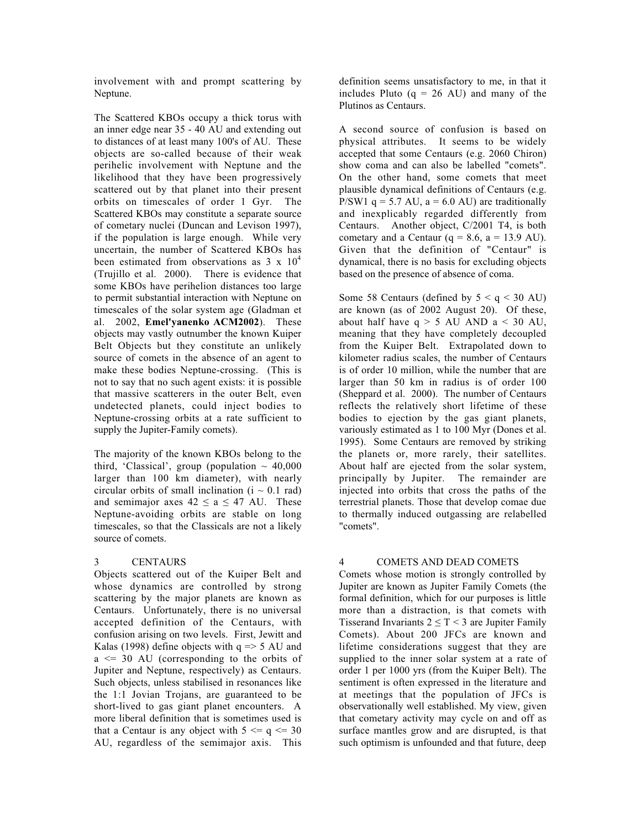involvement with and prompt scattering by Neptune.

The Scattered KBOs occupy a thick torus with an inner edge near 35 - 40 AU and extending out to distances of at least many 100's of AU. These objects are so-called because of their weak perihelic involvement with Neptune and the likelihood that they have been progressively scattered out by that planet into their present orbits on timescales of order 1 Gyr. The Scattered KBOs may constitute a separate source of cometary nuclei (Duncan and Levison 1997), if the population is large enough. While very uncertain, the number of Scattered KBOs has been estimated from observations as  $3 \times 10^4$ (Trujillo et al. 2000). There is evidence that some KBOs have perihelion distances too large to permit substantial interaction with Neptune on timescales of the solar system age (Gladman et al. 2002, **Emel'yanenko ACM2002**). These objects may vastly outnumber the known Kuiper Belt Objects but they constitute an unlikely source of comets in the absence of an agent to make these bodies Neptune-crossing. (This is not to say that no such agent exists: it is possible that massive scatterers in the outer Belt, even undetected planets, could inject bodies to Neptune-crossing orbits at a rate sufficient to supply the Jupiter-Family comets).

The majority of the known KBOs belong to the third, 'Classical', group (population  $\sim$  40,000 larger than 100 km diameter), with nearly circular orbits of small inclination  $(i \sim 0.1$  rad) and semimajor axes  $42 < a < 47$  AU. These Neptune-avoiding orbits are stable on long timescales, so that the Classicals are not a likely source of comets.

#### 3 CENTAURS

Objects scattered out of the Kuiper Belt and whose dynamics are controlled by strong scattering by the major planets are known as Centaurs. Unfortunately, there is no universal accepted definition of the Centaurs, with confusion arising on two levels. First, Jewitt and Kalas (1998) define objects with  $q \approx 5$  AU and a <= 30 AU (corresponding to the orbits of Jupiter and Neptune, respectively) as Centaurs. Such objects, unless stabilised in resonances like the 1:1 Jovian Trojans, are guaranteed to be short-lived to gas giant planet encounters. A more liberal definition that is sometimes used is that a Centaur is any object with  $5 \leq q \leq 30$ AU, regardless of the semimajor axis. This

definition seems unsatisfactory to me, in that it includes Pluto  $(q = 26 \text{ AU})$  and many of the Plutinos as Centaurs.

A second source of confusion is based on physical attributes. It seems to be widely accepted that some Centaurs (e.g. 2060 Chiron) show coma and can also be labelled "comets". On the other hand, some comets that meet plausible dynamical definitions of Centaurs (e.g. P/SW1  $q = 5.7$  AU,  $a = 6.0$  AU) are traditionally and inexplicably regarded differently from Centaurs. Another object, C/2001 T4, is both cometary and a Centaur  $(q = 8.6, a = 13.9 \text{ AU})$ . Given that the definition of "Centaur" is dynamical, there is no basis for excluding objects based on the presence of absence of coma.

Some 58 Centaurs (defined by  $5 < q < 30$  AU) are known (as of 2002 August 20). Of these, about half have  $q > 5$  AU AND  $a < 30$  AU, meaning that they have completely decoupled from the Kuiper Belt. Extrapolated down to kilometer radius scales, the number of Centaurs is of order 10 million, while the number that are larger than 50 km in radius is of order 100 (Sheppard et al. 2000). The number of Centaurs reflects the relatively short lifetime of these bodies to ejection by the gas giant planets, variously estimated as 1 to 100 Myr (Dones et al. 1995). Some Centaurs are removed by striking the planets or, more rarely, their satellites. About half are ejected from the solar system, principally by Jupiter. The remainder are injected into orbits that cross the paths of the terrestrial planets. Those that develop comae due to thermally induced outgassing are relabelled "comets".

## 4 COMETS AND DEAD COMETS

Comets whose motion is strongly controlled by Jupiter are known as Jupiter Family Comets (the formal definition, which for our purposes is little more than a distraction, is that comets with Tisserand Invariants  $2 \le T < 3$  are Jupiter Family Comets). About 200 JFCs are known and lifetime considerations suggest that they are supplied to the inner solar system at a rate of order 1 per 1000 yrs (from the Kuiper Belt). The sentiment is often expressed in the literature and at meetings that the population of JFCs is observationally well established. My view, given that cometary activity may cycle on and off as surface mantles grow and are disrupted, is that such optimism is unfounded and that future, deep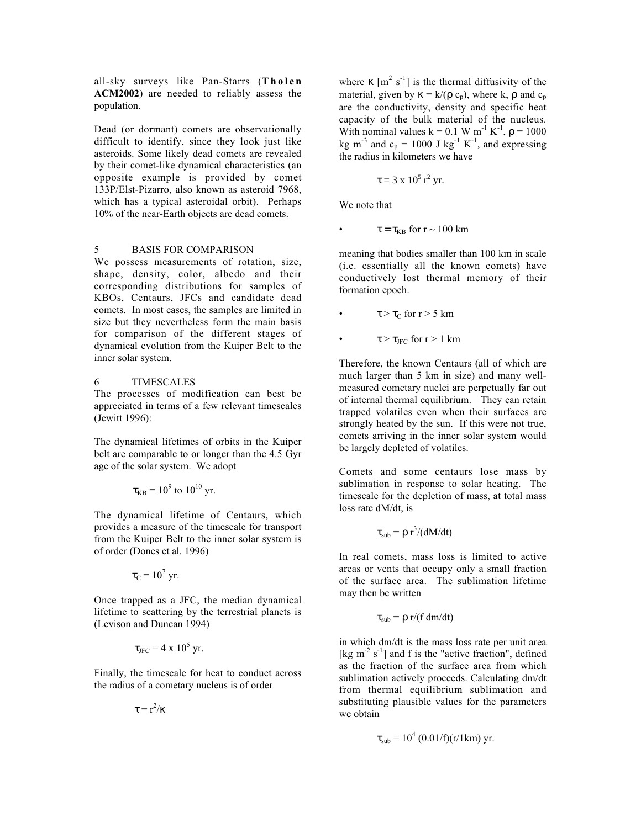all-sky surveys like Pan-Starrs (**Tholen ACM2002**) are needed to reliably assess the population.

Dead (or dormant) comets are observationally difficult to identify, since they look just like asteroids. Some likely dead comets are revealed by their comet-like dynamical characteristics (an opposite example is provided by comet 133P/Elst-Pizarro, also known as asteroid 7968, which has a typical asteroidal orbit). Perhaps 10% of the near-Earth objects are dead comets.

# 5 BASIS FOR COMPARISON

We possess measurements of rotation, size, shape, density, color, albedo and their corresponding distributions for samples of KBOs, Centaurs, JFCs and candidate dead comets. In most cases, the samples are limited in size but they nevertheless form the main basis for comparison of the different stages of dynamical evolution from the Kuiper Belt to the inner solar system.

### 6 TIMESCALES

The processes of modification can best be appreciated in terms of a few relevant timescales (Jewitt 1996):

The dynamical lifetimes of orbits in the Kuiper belt are comparable to or longer than the 4.5 Gyr age of the solar system. We adopt

$$
\tau_{KB} = 10^9
$$
 to  $10^{10}$  yr.

The dynamical lifetime of Centaurs, which provides a measure of the timescale for transport from the Kuiper Belt to the inner solar system is of order (Dones et al. 1996)

$$
\tau_{\rm C} = 10^7 \, \text{yr}.
$$

Once trapped as a JFC, the median dynamical lifetime to scattering by the terrestrial planets is (Levison and Duncan 1994)

$$
\tau_{\rm JFC} = 4 \times 10^5 \, \text{yr}.
$$

Finally, the timescale for heat to conduct across the radius of a cometary nucleus is of order

 $\tau = r^2/\kappa$ 

where  $\kappa$  [m<sup>2</sup> s<sup>-1</sup>] is the thermal diffusivity of the material, given by  $\kappa = k/(\rho c_p)$ , where k,  $\rho$  and  $c_p$ are the conductivity, density and specific heat capacity of the bulk material of the nucleus. With nominal values  $k = 0.1 W m^{-1} K^{-1}$ ,  $\rho = 1000$ kg m<sup>-3</sup> and  $c_p = 1000$  J kg<sup>-1</sup> K<sup>-1</sup>, and expressing the radius in kilometers we have

$$
\tau = 3 \times 10^5 \,\mathrm{r}^2 \,\mathrm{yr}.
$$

We note that

• 
$$
\tau = \tau_{KB} \text{ for } r \sim 100 \text{ km}
$$

meaning that bodies smaller than 100 km in scale (i.e. essentially all the known comets) have conductively lost thermal memory of their formation epoch.

- $\tau > \tau_C$  for  $r > 5$  km
- $\tau > \tau_{\text{JFC}}$  for  $r > 1$  km

Therefore, the known Centaurs (all of which are much larger than 5 km in size) and many wellmeasured cometary nuclei are perpetually far out of internal thermal equilibrium. They can retain trapped volatiles even when their surfaces are strongly heated by the sun. If this were not true, comets arriving in the inner solar system would be largely depleted of volatiles.

Comets and some centaurs lose mass by sublimation in response to solar heating. The timescale for the depletion of mass, at total mass loss rate dM/dt, is

$$
\tau_{sub} = \rho r^3/(dM/dt)
$$

In real comets, mass loss is limited to active areas or vents that occupy only a small fraction of the surface area. The sublimation lifetime may then be written

$$
\tau_{sub} = \rho r/(f dm/dt)
$$

in which dm/dt is the mass loss rate per unit area [kg m<sup>-2</sup> s<sup>-1</sup>] and f is the "active fraction", defined as the fraction of the surface area from which sublimation actively proceeds. Calculating dm/dt from thermal equilibrium sublimation and substituting plausible values for the parameters we obtain

$$
\tau_{sub} = 10^4 (0.01/f)(r/1km) \text{ yr}.
$$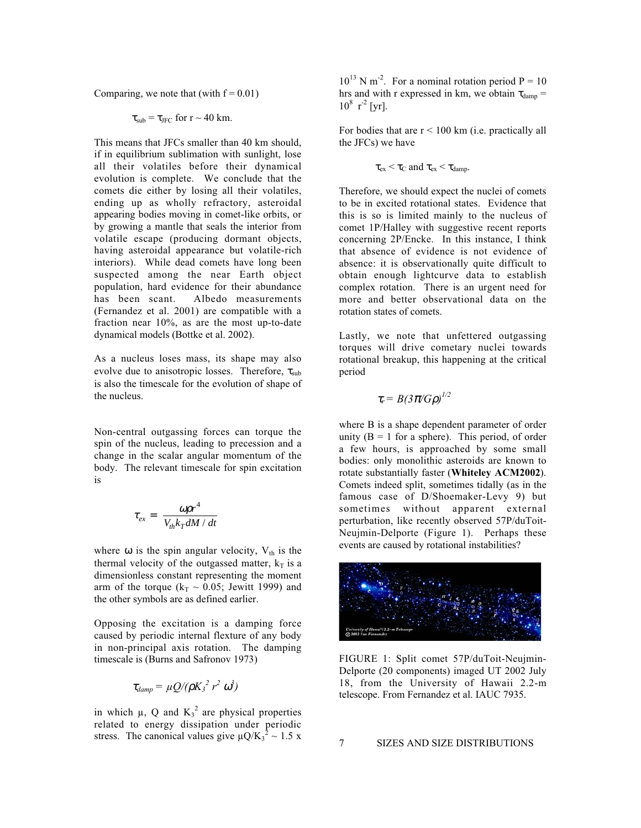Comparing, we note that (with  $f = 0.01$ )

 $\tau_{sub} = \tau_{JFC}$  for  $r \sim 40$  km.

This means that JFCs smaller than 40 km should, if in equilibrium sublimation with sunlight, lose all their volatiles before their dynamical evolution is complete. We conclude that the comets die either by losing all their volatiles, ending up as wholly refractory, asteroidal appearing bodies moving in comet-like orbits, or by growing a mantle that seals the interior from volatile escape (producing dormant objects, having asteroidal appearance but volatile-rich interiors). While dead comets have long been suspected among the near Earth object population, hard evidence for their abundance has been scant. Albedo measurements (Fernandez et al. 2001) are compatible with a fraction near 10%, as are the most up-to-date dynamical models (Bottke et al. 2002).

As a nucleus loses mass, its shape may also evolve due to anisotropic losses. Therefore,  $\tau_{sub}$ is also the timescale for the evolution of shape of the nucleus.

Non-central outgassing forces can torque the spin of the nucleus, leading to precession and a change in the scalar angular momentum of the body. The relevant timescale for spin excitation is

$$
\tau_{ex} = \left(\frac{\omega \rho r^4}{V_{th} k_T dM / dt}\right)
$$

where  $\omega$  is the spin angular velocity,  $V_{th}$  is the thermal velocity of the outgassed matter,  $k_T$  is a dimensionless constant representing the moment arm of the torque ( $k_T \sim 0.05$ ; Jewitt 1999) and the other symbols are as defined earlier.

Opposing the excitation is a damping force caused by periodic internal flexture of any body in non-principal axis rotation. The damping timescale is (Burns and Safronov 1973)

$$
\tau_{damp} = \mu Q/(\rho K_3^2 r^2 \omega^3)
$$

in which  $\mu$ , Q and  $K_3^2$  are physical properties related to energy dissipation under periodic stress. The canonical values give  $\mu Q/K_3^2 \sim 1.5 \text{ x}$ 

 $10^{13}$  N m<sup>-2</sup>. For a nominal rotation period P = 10 hrs and with r expressed in km, we obtain  $\tau_{\text{damp}} =$  $10^8$  r<sup>-2</sup> [yr].

For bodies that are  $r < 100$  km (i.e. practically all the JFCs) we have

 $\tau_{\rm ex} < \tau_{\rm C}$  and  $\tau_{\rm ex} < \tau_{\rm damp}.$ 

Therefore, we should expect the nuclei of comets to be in excited rotational states. Evidence that this is so is limited mainly to the nucleus of comet 1P/Halley with suggestive recent reports concerning 2P/Encke. In this instance, I think that absence of evidence is not evidence of absence: it is observationally quite difficult to obtain enough lightcurve data to establish complex rotation. There is an urgent need for more and better observational data on the rotation states of comets.

Lastly, we note that unfettered outgassing torques will drive cometary nuclei towards rotational breakup, this happening at the critical period

$$
\tau_r = B(3\pi/G\rho)^{1/2}
$$

where B is a shape dependent parameter of order unity ( $B = 1$  for a sphere). This period, of order a few hours, is approached by some small bodies: only monolithic asteroids are known to rotate substantially faster (**Whiteley ACM2002**). Comets indeed split, sometimes tidally (as in the famous case of D/Shoemaker-Levy 9) but sometimes without apparent external perturbation, like recently observed 57P/duToit-Neujmin-Delporte (Figure 1). Perhaps these events are caused by rotational instabilities?



FIGURE 1: Split comet 57P/duToit-Neujmin-Delporte (20 components) imaged UT 2002 July 18, from the University of Hawaii 2.2-m telescope. From Fernandez et al. IAUC 7935.

7 SIZES AND SIZE DISTRIBUTIONS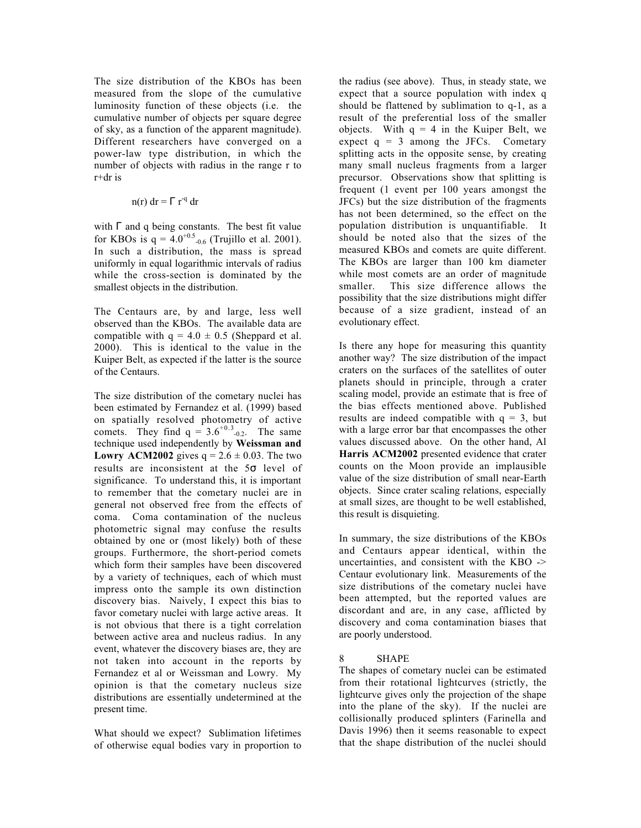The size distribution of the KBOs has been measured from the slope of the cumulative luminosity function of these objects (i.e. the cumulative number of objects per square degree of sky, as a function of the apparent magnitude). Different researchers have converged on a power-law type distribution, in which the number of objects with radius in the range r to r+dr is

$$
n(r) dr = \Gamma r^{-q} dr
$$

with  $\Gamma$  and q being constants. The best fit value for KBOs is  $q = 4.0^{+0.5}$ <sub>-0.6</sub> (Trujillo et al. 2001). In such a distribution, the mass is spread uniformly in equal logarithmic intervals of radius while the cross-section is dominated by the smallest objects in the distribution.

The Centaurs are, by and large, less well observed than the KBOs. The available data are compatible with  $q = 4.0 \pm 0.5$  (Sheppard et al. 2000). This is identical to the value in the Kuiper Belt, as expected if the latter is the source of the Centaurs.

The size distribution of the cometary nuclei has been estimated by Fernandez et al. (1999) based on spatially resolved photometry of active comets. They find  $q = 3.6^{+0.3}$ <sub>-0.2</sub>. The same technique used independently by **Weissman and Lowry ACM2002** gives  $q = 2.6 \pm 0.03$ . The two results are inconsistent at the 5σ level of significance. To understand this, it is important to remember that the cometary nuclei are in general not observed free from the effects of coma. Coma contamination of the nucleus photometric signal may confuse the results obtained by one or (most likely) both of these groups. Furthermore, the short-period comets which form their samples have been discovered by a variety of techniques, each of which must impress onto the sample its own distinction discovery bias. Naively, I expect this bias to favor cometary nuclei with large active areas. It is not obvious that there is a tight correlation between active area and nucleus radius. In any event, whatever the discovery biases are, they are not taken into account in the reports by Fernandez et al or Weissman and Lowry. My opinion is that the cometary nucleus size distributions are essentially undetermined at the present time.

What should we expect? Sublimation lifetimes of otherwise equal bodies vary in proportion to the radius (see above). Thus, in steady state, we expect that a source population with index q should be flattened by sublimation to q-1, as a result of the preferential loss of the smaller objects. With  $q = 4$  in the Kuiper Belt, we expect  $q = 3$  among the JFCs. Cometary splitting acts in the opposite sense, by creating many small nucleus fragments from a larger precursor. Observations show that splitting is frequent (1 event per 100 years amongst the JFCs) but the size distribution of the fragments has not been determined, so the effect on the population distribution is unquantifiable. It should be noted also that the sizes of the measured KBOs and comets are quite different. The KBOs are larger than 100 km diameter while most comets are an order of magnitude smaller. This size difference allows the possibility that the size distributions might differ because of a size gradient, instead of an evolutionary effect.

Is there any hope for measuring this quantity another way? The size distribution of the impact craters on the surfaces of the satellites of outer planets should in principle, through a crater scaling model, provide an estimate that is free of the bias effects mentioned above. Published results are indeed compatible with  $q = 3$ , but with a large error bar that encompasses the other values discussed above. On the other hand, Al **Harris ACM2002** presented evidence that crater counts on the Moon provide an implausible value of the size distribution of small near-Earth objects. Since crater scaling relations, especially at small sizes, are thought to be well established, this result is disquieting.

In summary, the size distributions of the KBOs and Centaurs appear identical, within the uncertainties, and consistent with the KBO -> Centaur evolutionary link. Measurements of the size distributions of the cometary nuclei have been attempted, but the reported values are discordant and are, in any case, afflicted by discovery and coma contamination biases that are poorly understood.

#### 8 SHAPE

The shapes of cometary nuclei can be estimated from their rotational lightcurves (strictly, the lightcurve gives only the projection of the shape into the plane of the sky). If the nuclei are collisionally produced splinters (Farinella and Davis 1996) then it seems reasonable to expect that the shape distribution of the nuclei should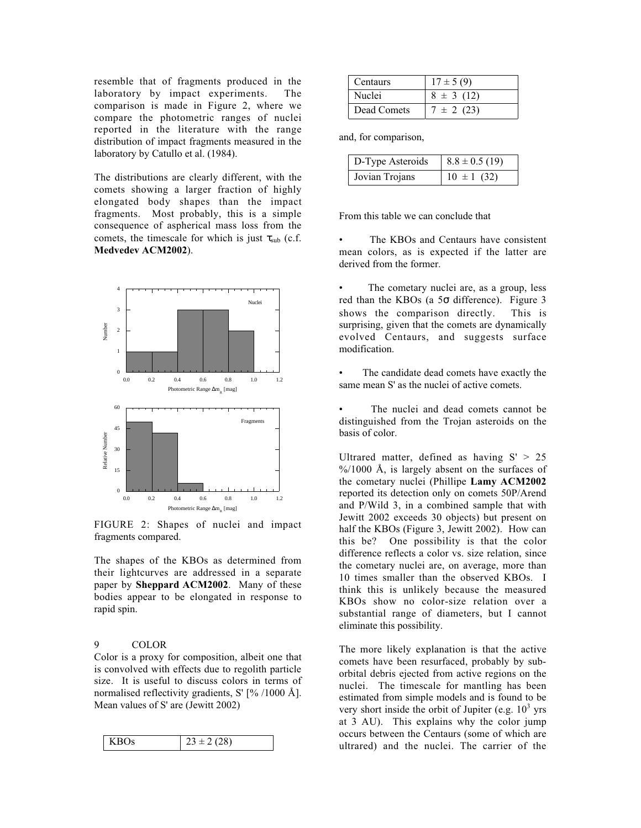resemble that of fragments produced in the laboratory by impact experiments. The comparison is made in Figure 2, where we compare the photometric ranges of nuclei reported in the literature with the range distribution of impact fragments measured in the laboratory by Catullo et al. (1984).

The distributions are clearly different, with the comets showing a larger fraction of highly elongated body shapes than the impact fragments. Most probably, this is a simple consequence of aspherical mass loss from the comets, the timescale for which is just  $\tau_{sub}$  (c.f. **Medvedev ACM2002**).



FIGURE 2: Shapes of nuclei and impact fragments compared.

The shapes of the KBOs as determined from their lightcurves are addressed in a separate paper by **Sheppard ACM2002**. Many of these bodies appear to be elongated in response to rapid spin.

# 9 COLOR

Color is a proxy for composition, albeit one that is convolved with effects due to regolith particle size. It is useful to discuss colors in terms of normalised reflectivity gradients,  $S'$  [% /1000 Å]. Mean values of S' are (Jewitt 2002)

| $\mathbf{I}$<br>$K$ ROs | $3 + 2$ |
|-------------------------|---------|
|-------------------------|---------|

| Centaurs    | $17 \pm 5(9)$ |
|-------------|---------------|
| Nuclei      | $8 \pm 3(12)$ |
| Dead Comets | $7 \pm 2(23)$ |

and, for comparison,

| D-Type Asteroids | $8.8 \pm 0.5$ (19) |
|------------------|--------------------|
| Jovian Trojans   | $10 \pm 1$ (32)    |

From this table we can conclude that

The KBOs and Centaurs have consistent mean colors, as is expected if the latter are derived from the former.

The cometary nuclei are, as a group, less red than the KBOs (a 5σ difference). Figure 3 shows the comparison directly. This is surprising, given that the comets are dynamically evolved Centaurs, and suggests surface modification.

The candidate dead comets have exactly the same mean S' as the nuclei of active comets.

The nuclei and dead comets cannot be distinguished from the Trojan asteroids on the basis of color.

Ultrared matter, defined as having  $S' > 25$  $\frac{\%}{1000}$  Å, is largely absent on the surfaces of the cometary nuclei (Phillipe **Lamy ACM2002** reported its detection only on comets 50P/Arend and P/Wild 3, in a combined sample that with Jewitt 2002 exceeds 30 objects) but present on half the KBOs (Figure 3, Jewitt 2002). How can this be? One possibility is that the color difference reflects a color vs. size relation, since the cometary nuclei are, on average, more than 10 times smaller than the observed KBOs. I think this is unlikely because the measured KBOs show no color-size relation over a substantial range of diameters, but I cannot eliminate this possibility.

The more likely explanation is that the active comets have been resurfaced, probably by suborbital debris ejected from active regions on the nuclei. The timescale for mantling has been estimated from simple models and is found to be very short inside the orbit of Jupiter (e.g.  $10<sup>3</sup>$  yrs at 3 AU). This explains why the color jump occurs between the Centaurs (some of which are ultrared) and the nuclei. The carrier of the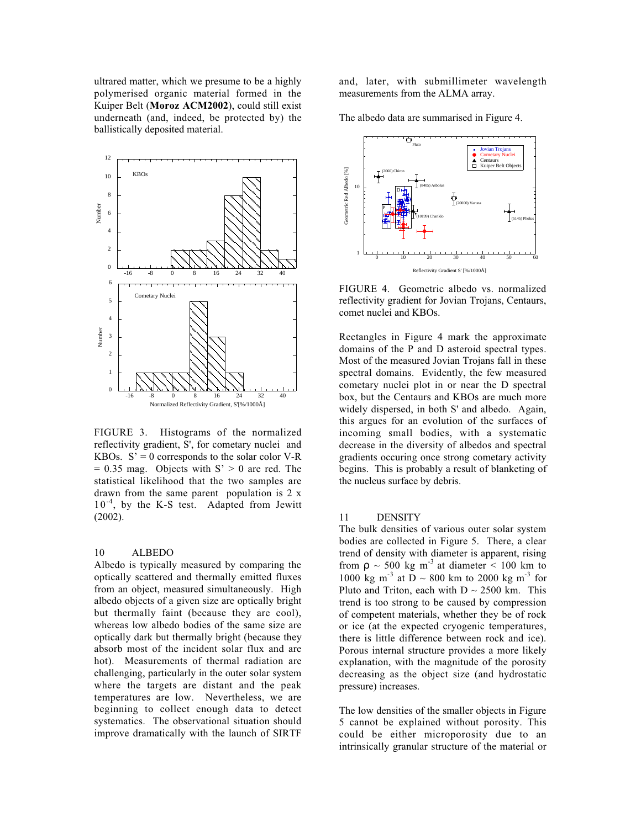ultrared matter, which we presume to be a highly polymerised organic material formed in the Kuiper Belt (**Moroz ACM2002**), could still exist underneath (and, indeed, be protected by) the ballistically deposited material.



FIGURE 3. Histograms of the normalized reflectivity gradient, S', for cometary nuclei and KBOs.  $S' = 0$  corresponds to the solar color V-R  $= 0.35$  mag. Objects with S'  $> 0$  are red. The statistical likelihood that the two samples are drawn from the same parent population is 2 x  $10^{-4}$ , by the K-S test. Adapted from Jewitt (2002).

#### 10 ALBEDO

Albedo is typically measured by comparing the optically scattered and thermally emitted fluxes from an object, measured simultaneously. High albedo objects of a given size are optically bright but thermally faint (because they are cool), whereas low albedo bodies of the same size are optically dark but thermally bright (because they absorb most of the incident solar flux and are hot). Measurements of thermal radiation are challenging, particularly in the outer solar system where the targets are distant and the peak temperatures are low. Nevertheless, we are beginning to collect enough data to detect systematics. The observational situation should improve dramatically with the launch of SIRTF

and, later, with submillimeter wavelength measurements from the ALMA array.

The albedo data are summarised in Figure 4.



FIGURE 4. Geometric albedo vs. normalized reflectivity gradient for Jovian Trojans, Centaurs, comet nuclei and KBOs.

Rectangles in Figure 4 mark the approximate domains of the P and D asteroid spectral types. Most of the measured Jovian Trojans fall in these spectral domains. Evidently, the few measured cometary nuclei plot in or near the D spectral box, but the Centaurs and KBOs are much more widely dispersed, in both S' and albedo. Again, this argues for an evolution of the surfaces of incoming small bodies, with a systematic decrease in the diversity of albedos and spectral gradients occuring once strong cometary activity begins. This is probably a result of blanketing of the nucleus surface by debris.

#### 11 DENSITY

The bulk densities of various outer solar system bodies are collected in Figure 5. There, a clear trend of density with diameter is apparent, rising from  $\rho \sim 500$  kg m<sup>-3</sup> at diameter  $\lt 100$  km to 1000 kg m<sup>-3</sup> at D ~ 800 km to 2000 kg m<sup>-3</sup> for Pluto and Triton, each with  $D \sim 2500$  km. This trend is too strong to be caused by compression of competent materials, whether they be of rock or ice (at the expected cryogenic temperatures, there is little difference between rock and ice). Porous internal structure provides a more likely explanation, with the magnitude of the porosity decreasing as the object size (and hydrostatic pressure) increases.

The low densities of the smaller objects in Figure 5 cannot be explained without porosity. This could be either microporosity due to an intrinsically granular structure of the material or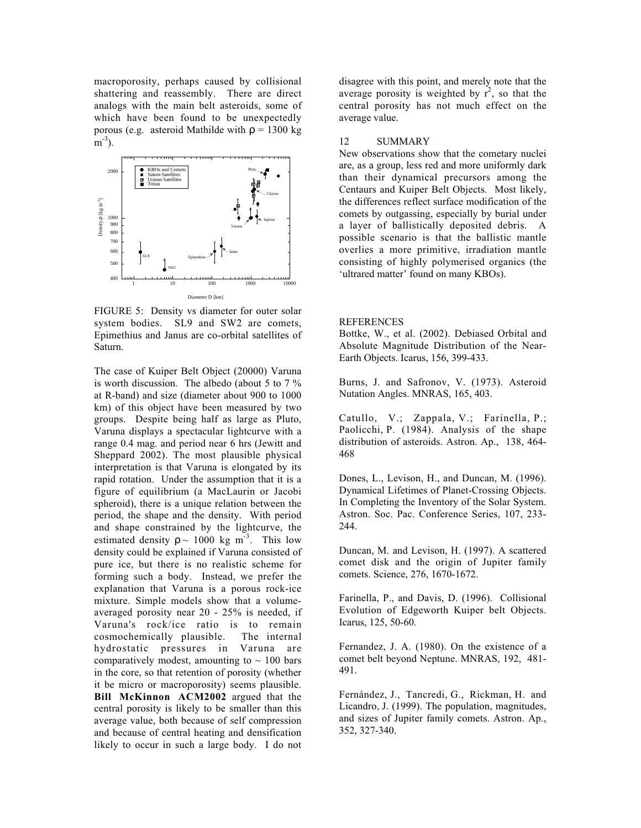macroporosity, perhaps caused by collisional shattering and reassembly. There are direct analogs with the main belt asteroids, some of which have been found to be unexpectedly porous (e.g. asteroid Mathilde with  $\rho = 1300 \text{ kg}$  $m^{-3}$ ).



FIGURE 5: Density vs diameter for outer solar system bodies. SL9 and SW2 are comets, Epimethius and Janus are co-orbital satellites of Saturn.

The case of Kuiper Belt Object (20000) Varuna is worth discussion. The albedo (about 5 to 7 % at R-band) and size (diameter about 900 to 1000 km) of this object have been measured by two groups. Despite being half as large as Pluto, Varuna displays a spectacular lightcurve with a range 0.4 mag. and period near 6 hrs (Jewitt and Sheppard 2002). The most plausible physical interpretation is that Varuna is elongated by its rapid rotation. Under the assumption that it is a figure of equilibrium (a MacLaurin or Jacobi spheroid), there is a unique relation between the period, the shape and the density. With period and shape constrained by the lightcurve, the estimated density  $\rho \sim 1000 \text{ kg m}^{-3}$ . This low density could be explained if Varuna consisted of pure ice, but there is no realistic scheme for forming such a body. Instead, we prefer the explanation that Varuna is a porous rock-ice mixture. Simple models show that a volumeaveraged porosity near 20 - 25% is needed, if Varuna's rock/ice ratio is to remain cosmochemically plausible. The internal hydrostatic pressures in Varuna are comparatively modest, amounting to  $\sim 100$  bars in the core, so that retention of porosity (whether it be micro or macroporosity) seems plausible. **Bill McKinnon ACM2002** argued that the central porosity is likely to be smaller than this average value, both because of self compression and because of central heating and densification likely to occur in such a large body. I do not

disagree with this point, and merely note that the average porosity is weighted by  $r^2$ , so that the central porosity has not much effect on the average value.

#### 12 SUMMARY

New observations show that the cometary nuclei are, as a group, less red and more uniformly dark than their dynamical precursors among the Centaurs and Kuiper Belt Objects. Most likely, the differences reflect surface modification of the comets by outgassing, especially by burial under a layer of ballistically deposited debris. A possible scenario is that the ballistic mantle overlies a more primitive, irradiation mantle consisting of highly polymerised organics (the 'ultrared matter' found on many KBOs).

#### REFERENCES

Bottke, W., et al. (2002). Debiased Orbital and Absolute Magnitude Distribution of the Near-Earth Objects. Icarus, 156, 399-433.

Burns, J. and Safronov, V. (1973). Asteroid Nutation Angles. MNRAS, 165, 403.

Catullo, V.; Zappala, V.; Farinella, P.; Paolicchi, P. (1984). Analysis of the shape distribution of asteroids. Astron. Ap., 138, 464- 468

Dones, L., Levison, H., and Duncan, M. (1996). Dynamical Lifetimes of Planet-Crossing Objects. In Completing the Inventory of the Solar System. Astron. Soc. Pac. Conference Series, 107, 233- 244.

Duncan, M. and Levison, H. (1997). A scattered comet disk and the origin of Jupiter family comets. Science, 276, 1670-1672.

Farinella, P., and Davis, D. (1996). Collisional Evolution of Edgeworth Kuiper belt Objects. Icarus, 125, 50-60.

Fernandez, J. A. (1980). On the existence of a comet belt beyond Neptune. MNRAS, 192, 481- 491.

Fernández, J., Tancredi, G., Rickman, H. and Licandro, J. (1999). The population, magnitudes, and sizes of Jupiter family comets. Astron. Ap., 352, 327-340.